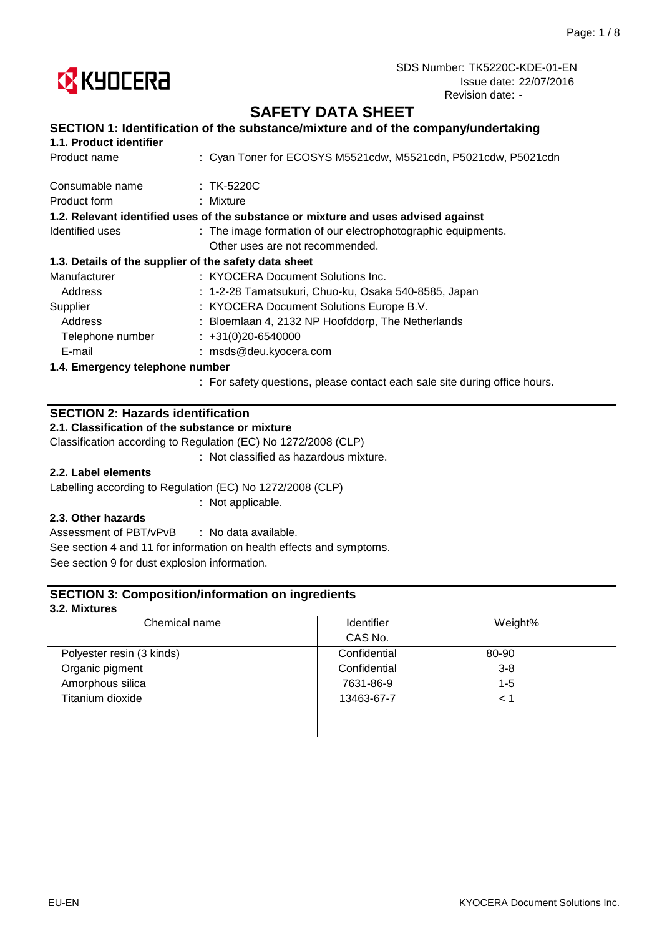

## **SAFETY DATA SHEET**

| SECTION 1: Identification of the substance/mixture and of the company/undertaking  |  |  |
|------------------------------------------------------------------------------------|--|--|
|                                                                                    |  |  |
| : Cyan Toner for ECOSYS M5521cdw, M5521cdn, P5021cdw, P5021cdn                     |  |  |
| $:$ TK-5220C                                                                       |  |  |
| : Mixture                                                                          |  |  |
| 1.2. Relevant identified uses of the substance or mixture and uses advised against |  |  |
| : The image formation of our electrophotographic equipments.                       |  |  |
| Other uses are not recommended.                                                    |  |  |
| 1.3. Details of the supplier of the safety data sheet                              |  |  |
| : KYOCERA Document Solutions Inc.                                                  |  |  |
| : 1-2-28 Tamatsukuri, Chuo-ku, Osaka 540-8585, Japan                               |  |  |
| : KYOCERA Document Solutions Europe B.V.                                           |  |  |
| : Bloemlaan 4, 2132 NP Hoofddorp, The Netherlands                                  |  |  |
| $\div$ +31(0)20-6540000                                                            |  |  |
| : msds@deu.kyocera.com                                                             |  |  |
| 1.4. Emergency telephone number                                                    |  |  |
|                                                                                    |  |  |

: For safety questions, please contact each sale site during office hours.

### **SECTION 2: Hazards identification**

**2.1. Classification of the substance or mixture**

Classification according to Regulation (EC) No 1272/2008 (CLP)

: Not classified as hazardous mixture.

### **2.2. Label elements**

Labelling according to Regulation (EC) No 1272/2008 (CLP)

: Not applicable.

### **2.3. Other hazards**

: No data available. Assessment of PBT/vPvB See section 4 and 11 for information on health effects and symptoms. See section 9 for dust explosion information.

### **SECTION 3: Composition/information on ingredients**

#### **3.2. Mixtures**

| Chemical name             | Identifier   | Weight% |
|---------------------------|--------------|---------|
|                           | CAS No.      |         |
| Polyester resin (3 kinds) | Confidential | 80-90   |
| Organic pigment           | Confidential | $3 - 8$ |
| Amorphous silica          | 7631-86-9    | $1 - 5$ |
| Titanium dioxide          | 13463-67-7   | < 1     |
|                           |              |         |
|                           |              |         |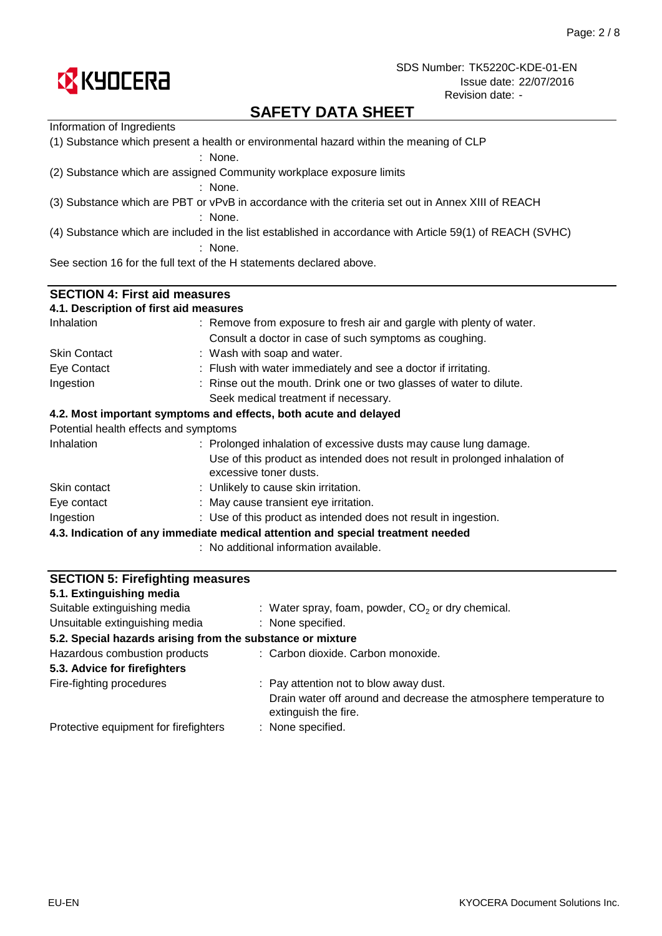

# **SAFETY DATA SHEET**

| Information of Ingredients              |                                                                                                           |  |  |  |
|-----------------------------------------|-----------------------------------------------------------------------------------------------------------|--|--|--|
|                                         | (1) Substance which present a health or environmental hazard within the meaning of CLP<br>: None.         |  |  |  |
|                                         | (2) Substance which are assigned Community workplace exposure limits                                      |  |  |  |
|                                         | : None.                                                                                                   |  |  |  |
|                                         | (3) Substance which are PBT or vPvB in accordance with the criteria set out in Annex XIII of REACH        |  |  |  |
|                                         | : None.                                                                                                   |  |  |  |
|                                         | (4) Substance which are included in the list established in accordance with Article 59(1) of REACH (SVHC) |  |  |  |
|                                         | : None.                                                                                                   |  |  |  |
|                                         | See section 16 for the full text of the H statements declared above.                                      |  |  |  |
|                                         |                                                                                                           |  |  |  |
| <b>SECTION 4: First aid measures</b>    |                                                                                                           |  |  |  |
| 4.1. Description of first aid measures  |                                                                                                           |  |  |  |
| Inhalation                              | : Remove from exposure to fresh air and gargle with plenty of water.                                      |  |  |  |
|                                         | Consult a doctor in case of such symptoms as coughing.                                                    |  |  |  |
| <b>Skin Contact</b>                     | : Wash with soap and water.                                                                               |  |  |  |
| Eye Contact                             | : Flush with water immediately and see a doctor if irritating.                                            |  |  |  |
| Ingestion                               | : Rinse out the mouth. Drink one or two glasses of water to dilute.                                       |  |  |  |
|                                         | Seek medical treatment if necessary.                                                                      |  |  |  |
|                                         | 4.2. Most important symptoms and effects, both acute and delayed                                          |  |  |  |
| Potential health effects and symptoms   |                                                                                                           |  |  |  |
| Inhalation                              | : Prolonged inhalation of excessive dusts may cause lung damage.                                          |  |  |  |
|                                         | Use of this product as intended does not result in prolonged inhalation of                                |  |  |  |
|                                         | excessive toner dusts.                                                                                    |  |  |  |
| Skin contact                            | : Unlikely to cause skin irritation.                                                                      |  |  |  |
| Eye contact                             | : May cause transient eye irritation.                                                                     |  |  |  |
| Ingestion                               | : Use of this product as intended does not result in ingestion.                                           |  |  |  |
|                                         | 4.3. Indication of any immediate medical attention and special treatment needed                           |  |  |  |
|                                         | : No additional information available.                                                                    |  |  |  |
|                                         |                                                                                                           |  |  |  |
| <b>SECTION 5: Firefighting measures</b> |                                                                                                           |  |  |  |

| 5.1. Extinguishing media                                   |                                                                                           |
|------------------------------------------------------------|-------------------------------------------------------------------------------------------|
| Suitable extinguishing media                               | : Water spray, foam, powder, $CO2$ or dry chemical.                                       |
| Unsuitable extinguishing media                             | : None specified.                                                                         |
| 5.2. Special hazards arising from the substance or mixture |                                                                                           |
| Hazardous combustion products                              | : Carbon dioxide. Carbon monoxide.                                                        |
| 5.3. Advice for firefighters                               |                                                                                           |
| Fire-fighting procedures                                   | : Pay attention not to blow away dust.                                                    |
|                                                            | Drain water off around and decrease the atmosphere temperature to<br>extinguish the fire. |
| Protective equipment for firefighters                      | : None specified.                                                                         |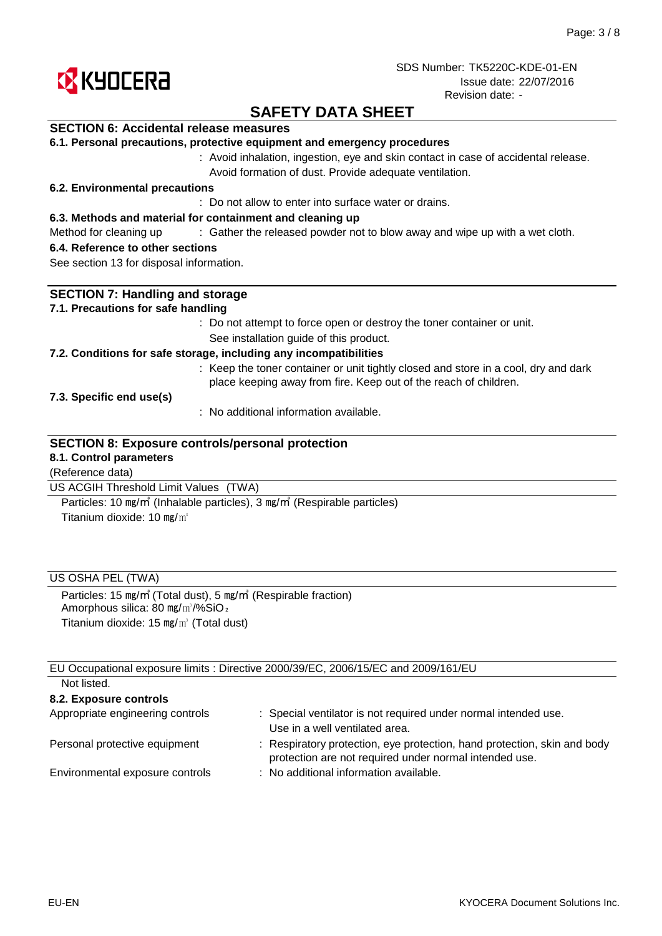

## **SAFETY DATA SHEET**

### **SECTION 6: Accidental release measures**

|  |  |  |  |  |  | 6.1. Personal precautions, protective equipment and emergency procedures |
|--|--|--|--|--|--|--------------------------------------------------------------------------|
|--|--|--|--|--|--|--------------------------------------------------------------------------|

: Avoid inhalation, ingestion, eye and skin contact in case of accidental release. Avoid formation of dust. Provide adequate ventilation.

#### **6.2. Environmental precautions**

: Do not allow to enter into surface water or drains.

#### **6.3. Methods and material for containment and cleaning up**

Method for cleaning up exclosive of the released powder not to blow away and wipe up with a wet cloth.

#### **6.4. Reference to other sections**

See section 13 for disposal information.

| <b>SECTION 7: Handling and storage</b>                                                                                                                  |
|---------------------------------------------------------------------------------------------------------------------------------------------------------|
| 7.1. Precautions for safe handling                                                                                                                      |
| : Do not attempt to force open or destroy the toner container or unit.                                                                                  |
| See installation guide of this product.                                                                                                                 |
| 7.2. Conditions for safe storage, including any incompatibilities                                                                                       |
| : Keep the toner container or unit tightly closed and store in a cool, dry and dark<br>place keeping away from fire. Keep out of the reach of children. |
| 7.3. Specific end use(s)                                                                                                                                |
| : No additional information available.                                                                                                                  |
| <b>SECTION 8: Exposure controls/personal protection</b><br>8.1. Control parameters                                                                      |
| (Reference data)                                                                                                                                        |
| US ACGIH Threshold Limit Values (TWA)                                                                                                                   |

Titanium dioxide: 10 mg/m<sup>3</sup> Particles: 10 ㎎/㎥ (Inhalable particles), 3 ㎎/㎥ (Respirable particles)

### US OSHA PEL (TWA)

Particles: 15 ㎎/㎥ (Total dust), 5 ㎎/㎥ (Respirable fraction) Amorphous silica: 80 mg/m<sup>3</sup>/%SiO<sub>2</sub> Titanium dioxide: 15 ㎎/㎥ (Total dust)

EU Occupational exposure limits : Directive 2000/39/EC, 2006/15/EC and 2009/161/EU Not listed.

| TVUL IISLUU.                     |                                                                                                                                    |
|----------------------------------|------------------------------------------------------------------------------------------------------------------------------------|
| 8.2. Exposure controls           |                                                                                                                                    |
| Appropriate engineering controls | : Special ventilator is not required under normal intended use.<br>Use in a well ventilated area.                                  |
| Personal protective equipment    | : Respiratory protection, eye protection, hand protection, skin and body<br>protection are not required under normal intended use. |
| Environmental exposure controls  | : No additional information available.                                                                                             |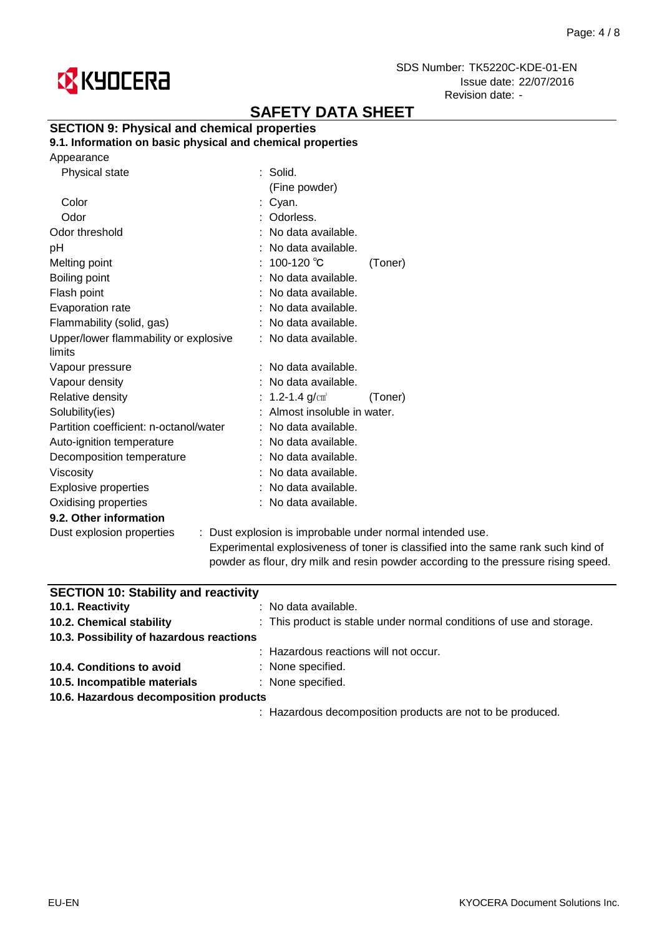

# **SAFETY DATA SHEET**

### **SECTION 9: Physical and chemical properties**

**9.1. Information on basic physical and chemical properties**

|  | Appearance |
|--|------------|
|--|------------|

| Physical state                                  | $:$ Solid.                   |                                                                                |
|-------------------------------------------------|------------------------------|--------------------------------------------------------------------------------|
|                                                 | (Fine powder)                |                                                                                |
| Color                                           | : Cyan.                      |                                                                                |
| Odor                                            | : Odorless.                  |                                                                                |
| Odor threshold                                  | : No data available.         |                                                                                |
| рH                                              | : No data available.         |                                                                                |
| Melting point                                   | : 100-120 ℃                  | (Toner)                                                                        |
| Boiling point                                   | : No data available.         |                                                                                |
| Flash point                                     | : No data available.         |                                                                                |
| Evaporation rate                                | : No data available.         |                                                                                |
| Flammability (solid, gas)                       | : No data available.         |                                                                                |
| Upper/lower flammability or explosive<br>limits | : No data available.         |                                                                                |
| Vapour pressure                                 | : No data available.         |                                                                                |
| Vapour density                                  | : No data available.         |                                                                                |
| Relative density                                | : 1.2-1.4 $g/cm^{3}$         | (Toner)                                                                        |
| Solubility(ies)                                 | : Almost insoluble in water. |                                                                                |
| Partition coefficient: n-octanol/water          | : No data available.         |                                                                                |
| Auto-ignition temperature                       | : No data available.         |                                                                                |
| Decomposition temperature                       | : No data available.         |                                                                                |
| <b>Viscosity</b>                                | : No data available.         |                                                                                |
| <b>Explosive properties</b>                     | : No data available.         |                                                                                |
| Oxidising properties                            | : No data available.         |                                                                                |
| 9.2. Other information                          |                              |                                                                                |
| Dust explosion properties                       |                              | : Dust explosion is improbable under normal intended use.                      |
|                                                 |                              | ويطلق والمتلأل والكالم والمواجر المتواصل والمتحدث والمتحدث والمتحدود والمتحدود |

Experimental explosiveness of toner is classified into the same rank such kind of powder as flour, dry milk and resin powder according to the pressure rising speed.

| <b>SECTION 10: Stability and reactivity</b> |                                                                      |  |  |
|---------------------------------------------|----------------------------------------------------------------------|--|--|
| 10.1. Reactivity                            | : No data available.                                                 |  |  |
| 10.2. Chemical stability                    | : This product is stable under normal conditions of use and storage. |  |  |
| 10.3. Possibility of hazardous reactions    |                                                                      |  |  |
|                                             | : Hazardous reactions will not occur.                                |  |  |
| 10.4. Conditions to avoid                   | : None specified.                                                    |  |  |
| 10.5. Incompatible materials                | : None specified.                                                    |  |  |
| 10.6. Hazardous decomposition products      |                                                                      |  |  |
|                                             | : Hazardous decomposition products are not to be produced.           |  |  |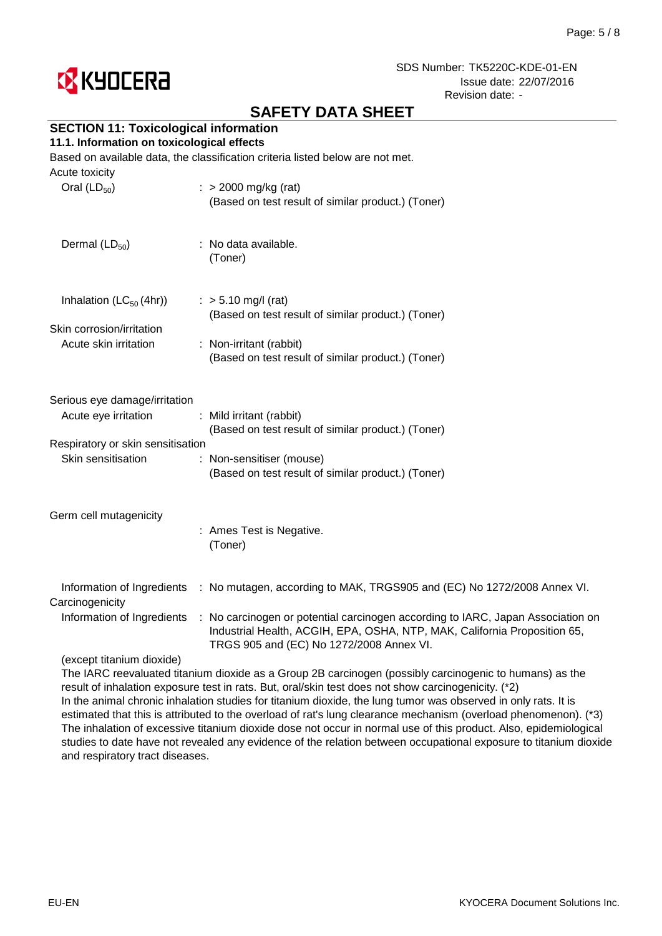

# **SAFETY DATA SHEET**

## **SECTION 11: Toxicological information**

#### **11.1. Information on toxicological effects**

Based on available data, the classification criteria listed below are not met.

| $\therefore$ > 2000 mg/kg (rat)<br>(Based on test result of similar product.) (Toner)                                                                                                                    |
|----------------------------------------------------------------------------------------------------------------------------------------------------------------------------------------------------------|
| : No data available.<br>(Toner)                                                                                                                                                                          |
| $:$ > 5.10 mg/l (rat)<br>(Based on test result of similar product.) (Toner)                                                                                                                              |
|                                                                                                                                                                                                          |
| : Non-irritant (rabbit)<br>(Based on test result of similar product.) (Toner)                                                                                                                            |
|                                                                                                                                                                                                          |
| Serious eye damage/irritation                                                                                                                                                                            |
| : Mild irritant (rabbit)<br>(Based on test result of similar product.) (Toner)                                                                                                                           |
| Respiratory or skin sensitisation                                                                                                                                                                        |
| : Non-sensitiser (mouse)                                                                                                                                                                                 |
| (Based on test result of similar product.) (Toner)                                                                                                                                                       |
|                                                                                                                                                                                                          |
| : Ames Test is Negative.<br>(Toner)                                                                                                                                                                      |
|                                                                                                                                                                                                          |
| : No mutagen, according to MAK, TRGS905 and (EC) No 1272/2008 Annex VI.                                                                                                                                  |
| : No carcinogen or potential carcinogen according to IARC, Japan Association on<br>Industrial Health, ACGIH, EPA, OSHA, NTP, MAK, California Proposition 65,<br>TRGS 905 and (EC) No 1272/2008 Annex VI. |
|                                                                                                                                                                                                          |
|                                                                                                                                                                                                          |

The IARC reevaluated titanium dioxide as a Group 2B carcinogen (possibly carcinogenic to humans) as the result of inhalation exposure test in rats. But, oral/skin test does not show carcinogenicity. (\*2) In the animal chronic inhalation studies for titanium dioxide, the lung tumor was observed in only rats. It is estimated that this is attributed to the overload of rat's lung clearance mechanism (overload phenomenon). (\*3) The inhalation of excessive titanium dioxide dose not occur in normal use of this product. Also, epidemiological studies to date have not revealed any evidence of the relation between occupational exposure to titanium dioxide and respiratory tract diseases.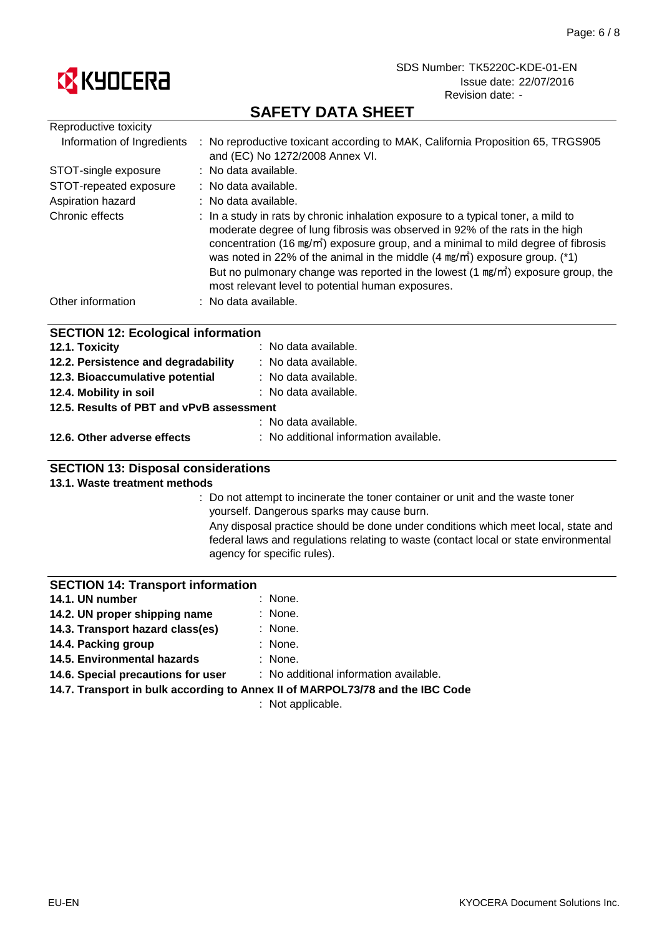

# **SAFETY DATA SHEET**

| Reproductive toxicity                     |                                                                                                                                                                                                                                                                                                                                                                                                                                                                                                                   |
|-------------------------------------------|-------------------------------------------------------------------------------------------------------------------------------------------------------------------------------------------------------------------------------------------------------------------------------------------------------------------------------------------------------------------------------------------------------------------------------------------------------------------------------------------------------------------|
| Information of Ingredients                | : No reproductive toxicant according to MAK, California Proposition 65, TRGS905<br>and (EC) No 1272/2008 Annex VI.                                                                                                                                                                                                                                                                                                                                                                                                |
| STOT-single exposure                      | : No data available.                                                                                                                                                                                                                                                                                                                                                                                                                                                                                              |
| STOT-repeated exposure                    | : No data available.                                                                                                                                                                                                                                                                                                                                                                                                                                                                                              |
| Aspiration hazard                         | : No data available.                                                                                                                                                                                                                                                                                                                                                                                                                                                                                              |
| Chronic effects                           | : In a study in rats by chronic inhalation exposure to a typical toner, a mild to<br>moderate degree of lung fibrosis was observed in 92% of the rats in the high<br>concentration (16 mg/m <sup>2</sup> ) exposure group, and a minimal to mild degree of fibrosis<br>was noted in 22% of the animal in the middle $(4 \text{ mg/m}^3)$ exposure group. (*1)<br>But no pulmonary change was reported in the lowest $(1 \text{ mg/m}^3)$ exposure group, the<br>most relevant level to potential human exposures. |
| Other information                         | : No data available.                                                                                                                                                                                                                                                                                                                                                                                                                                                                                              |
| <b>SECTION 12: Ecological information</b> |                                                                                                                                                                                                                                                                                                                                                                                                                                                                                                                   |
| 12.1. Toxicity                            | : No data available.                                                                                                                                                                                                                                                                                                                                                                                                                                                                                              |
| 12.2. Persistence and degradability       | : No data available.                                                                                                                                                                                                                                                                                                                                                                                                                                                                                              |
| 12.3. Bioaccumulative potential           | : No data available.                                                                                                                                                                                                                                                                                                                                                                                                                                                                                              |
| 12.4. Mobility in soil                    | : No data available.                                                                                                                                                                                                                                                                                                                                                                                                                                                                                              |

**12.5. Results of PBT and vPvB assessment**

|                             | : No data available.                   |
|-----------------------------|----------------------------------------|
| 12.6. Other adverse effects | : No additional information available. |

### **SECTION 13: Disposal considerations**

#### **13.1. Waste treatment methods**

: Do not attempt to incinerate the toner container or unit and the waste toner yourself. Dangerous sparks may cause burn.

Any disposal practice should be done under conditions which meet local, state and federal laws and regulations relating to waste (contact local or state environmental agency for specific rules).

### **SECTION 14: Transport information**

| 14.1. UN number                  | : None. |
|----------------------------------|---------|
| 14.2. UN proper shipping name    | : None. |
| 14.3. Transport hazard class(es) | : None. |

- **14.4. Packing group**
- : None. : None. **14.5. Environmental hazards**
- **14.6. Special precautions for user**

: No additional information available.

**14.7. Transport in bulk according to Annex II of MARPOL73/78 and the IBC Code**

: Not applicable.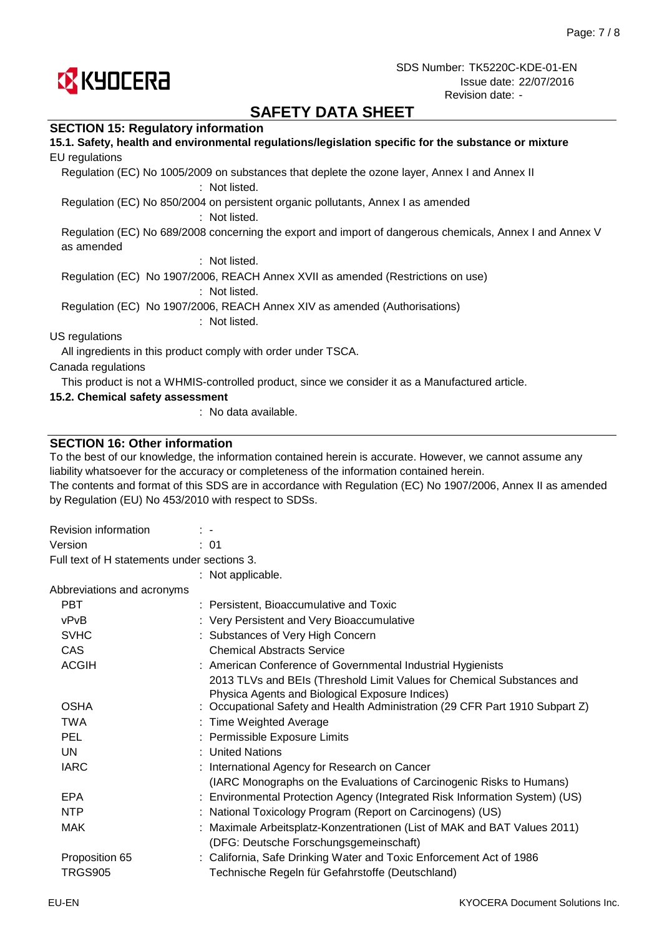

# **SAFETY DATA SHEET**

#### **SECTION 15: Regulatory information**

| 15.1. Safety, health and environmental regulations/legislation specific for the substance or mixture                   |
|------------------------------------------------------------------------------------------------------------------------|
| EU regulations                                                                                                         |
| Regulation (EC) No 1005/2009 on substances that deplete the ozone layer, Annex I and Annex II<br>: Not listed.         |
| Regulation (EC) No 850/2004 on persistent organic pollutants, Annex I as amended<br>: Not listed.                      |
| Regulation (EC) No 689/2008 concerning the export and import of dangerous chemicals, Annex I and Annex V<br>as amended |
| : Not listed.                                                                                                          |
| Regulation (EC) No 1907/2006, REACH Annex XVII as amended (Restrictions on use)<br>: Not listed.                       |
| Regulation (EC) No 1907/2006, REACH Annex XIV as amended (Authorisations)<br>: Not listed.                             |
| US regulations                                                                                                         |
| All ingredients in this product comply with order under TSCA.                                                          |
| Canada regulations                                                                                                     |
| This product is not a WHMIS-controlled product, since we consider it as a Manufactured article.                        |
| 15.2. Chemical safety assessment                                                                                       |

: No data available.

#### **SECTION 16: Other information**

To the best of our knowledge, the information contained herein is accurate. However, we cannot assume any liability whatsoever for the accuracy or completeness of the information contained herein.

The contents and format of this SDS are in accordance with Regulation (EC) No 1907/2006, Annex II as amended by Regulation (EU) No 453/2010 with respect to SDSs.

| Revision information                        | $\mathbb{R}^n$                                                                                                            |
|---------------------------------------------|---------------------------------------------------------------------------------------------------------------------------|
| Version                                     | : 01                                                                                                                      |
| Full text of H statements under sections 3. |                                                                                                                           |
|                                             | : Not applicable.                                                                                                         |
| Abbreviations and acronyms                  |                                                                                                                           |
| <b>PBT</b>                                  | : Persistent, Bioaccumulative and Toxic                                                                                   |
| vPvB                                        | : Very Persistent and Very Bioaccumulative                                                                                |
| <b>SVHC</b>                                 | : Substances of Very High Concern                                                                                         |
| <b>CAS</b>                                  | <b>Chemical Abstracts Service</b>                                                                                         |
| <b>ACGIH</b>                                | : American Conference of Governmental Industrial Hygienists                                                               |
|                                             | 2013 TLVs and BEIs (Threshold Limit Values for Chemical Substances and<br>Physica Agents and Biological Exposure Indices) |
| <b>OSHA</b>                                 | : Occupational Safety and Health Administration (29 CFR Part 1910 Subpart Z)                                              |
| <b>TWA</b>                                  | : Time Weighted Average                                                                                                   |
| <b>PEL</b>                                  | : Permissible Exposure Limits                                                                                             |
| UN                                          | : United Nations                                                                                                          |
| <b>IARC</b>                                 | : International Agency for Research on Cancer                                                                             |
|                                             | (IARC Monographs on the Evaluations of Carcinogenic Risks to Humans)                                                      |
| <b>EPA</b>                                  | : Environmental Protection Agency (Integrated Risk Information System) (US)                                               |
| <b>NTP</b>                                  | : National Toxicology Program (Report on Carcinogens) (US)                                                                |
| <b>MAK</b>                                  | : Maximale Arbeitsplatz-Konzentrationen (List of MAK and BAT Values 2011)                                                 |
|                                             | (DFG: Deutsche Forschungsgemeinschaft)                                                                                    |
| Proposition 65                              | : California, Safe Drinking Water and Toxic Enforcement Act of 1986                                                       |
| <b>TRGS905</b>                              | Technische Regeln für Gefahrstoffe (Deutschland)                                                                          |